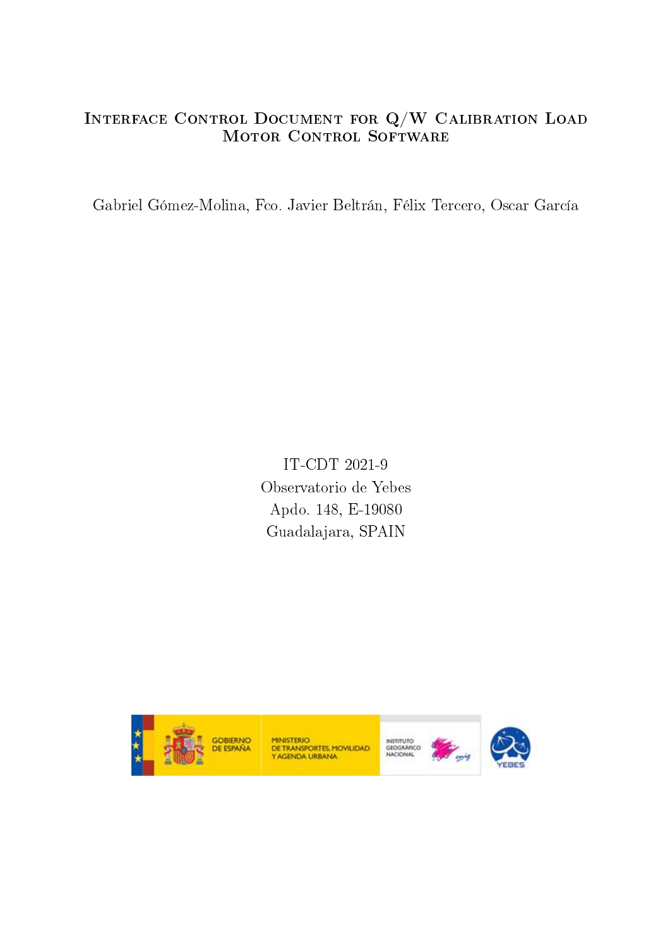## Interface Control Document for Q/W Calibration Load MOTOR CONTROL SOFTWARE

Gabriel Gómez-Molina, Fco. Javier Beltrán, Félix Tercero, Oscar García

IT-CDT 2021-9 Observatorio de Yebes Apdo. 148, E-19080 Guadalajara, SPAIN



MINISTERIO<br>DE TRANSPORTES, MOVILIDAD<br>Y AGENDA URBANA



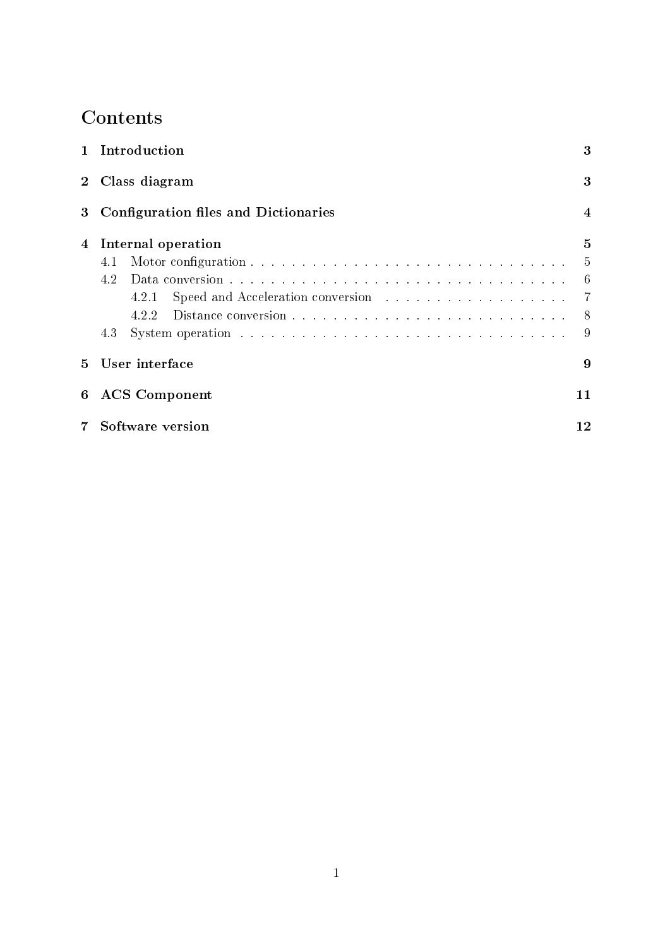# **Contents**

| $\mathbf{1}$   | Introduction<br>3<br>Class diagram<br>3                |              |  |
|----------------|--------------------------------------------------------|--------------|--|
| 2 <sub>1</sub> |                                                        |              |  |
| 3              | Configuration files and Dictionaries<br>$\overline{4}$ |              |  |
| 4              | Internal operation                                     | $\mathbf{5}$ |  |
|                | 4.1                                                    | -5           |  |
|                | 4.2                                                    | 6            |  |
|                | 4.2.1                                                  | 7            |  |
|                | 4.2.2                                                  | 8            |  |
|                | 4.3                                                    | 9            |  |
| 5              | User interface<br>9                                    |              |  |
| 6              | <b>ACS</b> Component<br>11                             |              |  |
|                | Software version<br>12                                 |              |  |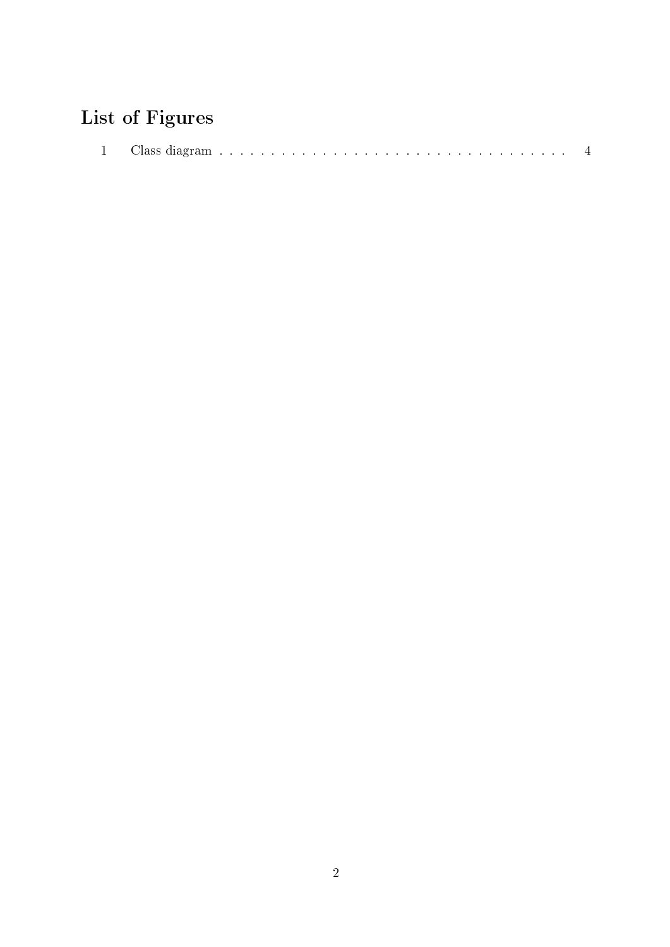# List of Figures

| 'an<br>ചക്ക |  |  |
|-------------|--|--|
|-------------|--|--|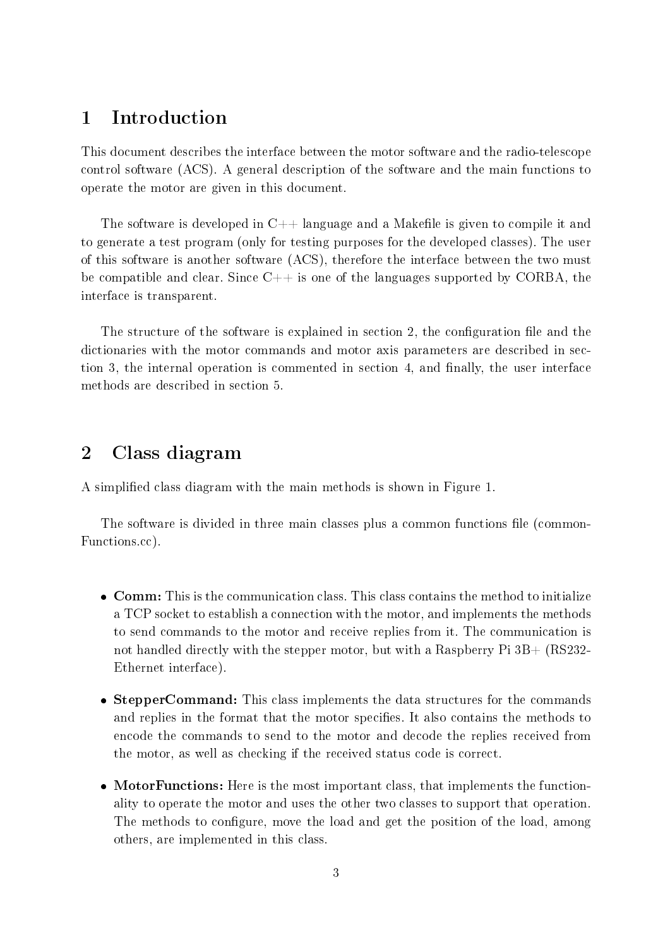## <span id="page-3-0"></span>1 Introduction

This document describes the interface between the motor software and the radio-telescope control software (ACS). A general description of the software and the main functions to operate the motor are given in this document.

The software is developed in  $C++$  language and a Makefile is given to compile it and to generate a test program (only for testing purposes for the developed classes). The user of this software is another software (ACS), therefore the interface between the two must be compatible and clear. Since  $C++$  is one of the languages supported by CORBA, the interface is transparent.

The structure of the software is explained in [section 2,](#page-3-1) the configuration file and the dictionaries with the motor commands and motor axis parameters are described in [sec](#page-4-0)[tion 3,](#page-4-0) the internal operation is commented in [section 4,](#page-5-0) and finally, the user interface methods are described in [section 5.](#page-9-1)

## <span id="page-3-1"></span>2 Class diagram

A simplied class diagram with the main methods is shown in [Figure 1.](#page-4-1)

The software is divided in three main classes plus a common functions file (common-Functions.cc).

- **Comm:** This is the communication class. This class contains the method to initialize a TCP socket to establish a connection with the motor, and implements the methods to send commands to the motor and receive replies from it. The communication is not handled directly with the stepper motor, but with a Raspberry Pi  $3B+$  (RS232-Ethernet interface).
- StepperCommand: This class implements the data structures for the commands and replies in the format that the motor specifies. It also contains the methods to encode the commands to send to the motor and decode the replies received from the motor, as well as checking if the received status code is correct.
- MotorFunctions: Here is the most important class, that implements the functionality to operate the motor and uses the other two classes to support that operation. The methods to configure, move the load and get the position of the load, among others, are implemented in this class.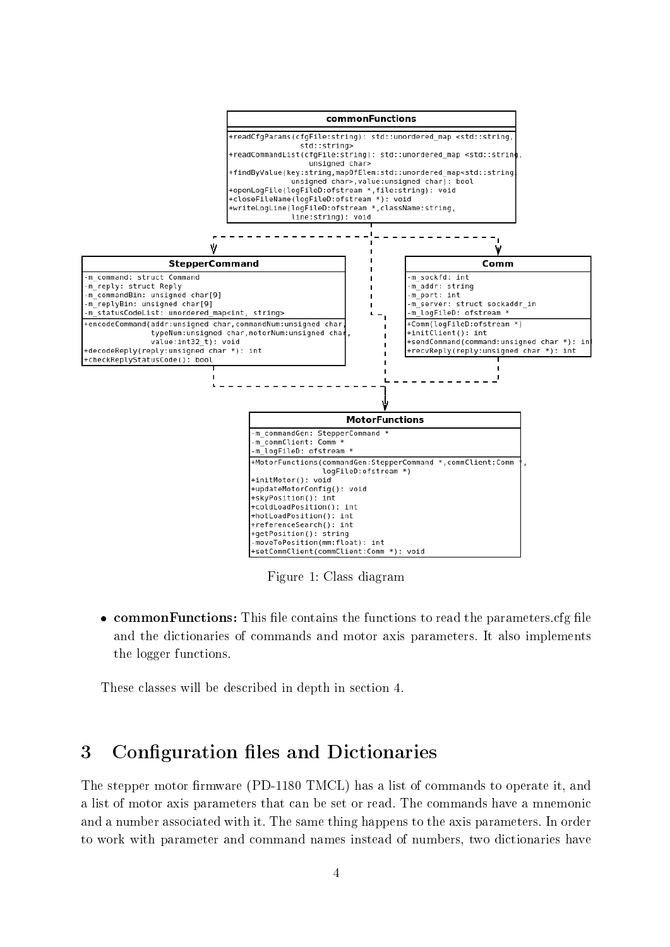<span id="page-4-1"></span>

Figure 1: Class diagram

 $\bullet$  commonFunctions: This file contains the functions to read the parameters.cfg file and the dictionaries of commands and motor axis parameters. It also implements the logger functions.

These classes will be described in depth in [section 4.](#page-5-0)

## <span id="page-4-0"></span>3 Configuration files and Dictionaries

The stepper motor firmware (PD-1180 TMCL) has a list of commands to operate it, and a list of motor axis parameters that can be set or read. The commands have a mnemonic and a number associated with it. The same thing happens to the axis parameters. In order to work with parameter and command names instead of numbers, two dictionaries have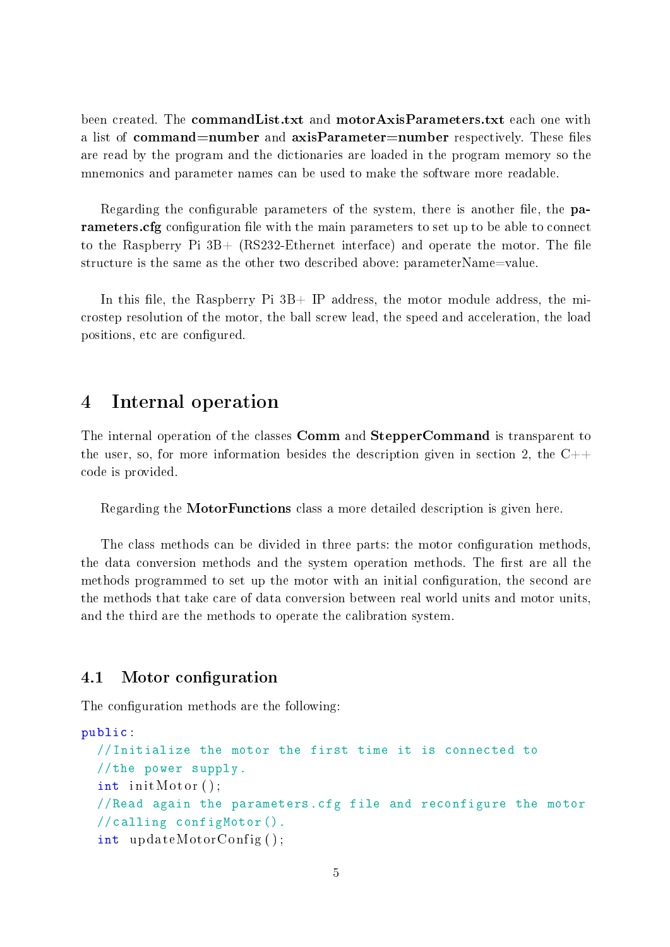been created. The **commandList.txt** and **motorAxisParameters.txt** each one with a list of **command=number** and **axisParameter=number** respectively. These files are read by the program and the dictionaries are loaded in the program memory so the mnemonics and parameter names can be used to make the software more readable.

Regarding the configurable parameters of the system, there is another file, the parameters.cfg configuration file with the main parameters to set up to be able to connect to the Raspberry Pi  $3B+$  (RS232-Ethernet interface) and operate the motor. The file structure is the same as the other two described above: parameterName=value.

In this file, the Raspberry Pi  $3B+$  IP address, the motor module address, the microstep resolution of the motor, the ball screw lead, the speed and acceleration, the load positions, etc are configured.

### <span id="page-5-0"></span>4 Internal operation

The internal operation of the classes Comm and StepperCommand is transparent to the user, so, for more information besides the description given in [section 2,](#page-3-1) the  $C++$ code is provided.

Regarding the MotorFunctions class a more detailed description is given here.

The class methods can be divided in three parts: the motor configuration methods, the data conversion methods and the system operation methods. The first are all the methods programmed to set up the motor with an initial configuration, the second are the methods that take care of data conversion between real world units and motor units, and the third are the methods to operate the calibration system.

#### <span id="page-5-1"></span>4.1 Motor configuration

The configuration methods are the following:

```
public :
  //Initialize the motor the first time it is connected to
  //the power supply.
  int init Motor ();
  //Read again the parameters.cfg file and reconfigure the motor
  //calling configMotor().
  int updateMotorConfig ( ) ;
```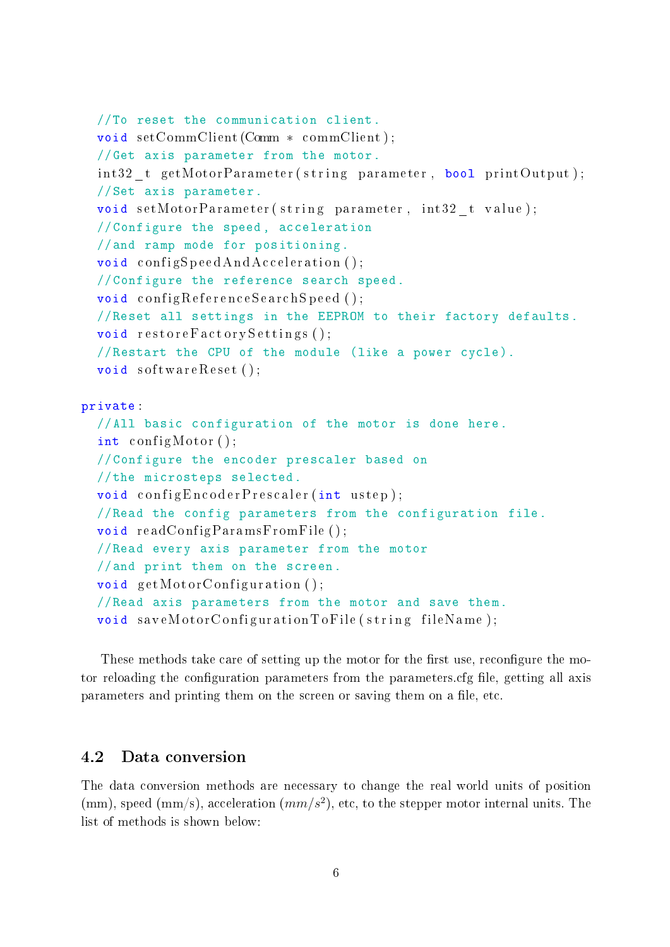```
//To reset the communication client.
  void setCommClient (Comm * commClient);
  //Get axis parameter from the motor.
  int32 t getMotorParameter ( s tring parameter, bool printOutput );
  //Set axis parameter.
  void setMotorParameter (string parameter, int32 t value);
  //Configure the speed , acceleration
  //and ramp mode for positioning.
  void config Speed And Acceleration ();
  //Configure the reference search speed.
  void configReferenceSearchSpeed();
  //Reset all settings in the EEPROM to their factory defaults.
  void restoreFactorySetting ();//Restart the CPU of the module (like a power cycle).
  void < software Reset();
private :
  //All basic configuration of the motor is done here.
  int configMotor();
  //Configure the encoder prescaler based on
  //the microsteps selected.
  void configEncoderPrescaler (int \text{ u step});//Read the config parameters from the configuration file.
  void readConfigParamsFromFile ( ) ;
  //Read every axis parameter from the motor
  //and print them on the screen.
  void getMotorConfiguration();
  //Read axis parameters from the motor and save them.
  void saveMotorConfigurationToFile(string fileName);
```
These methods take care of setting up the motor for the first use, reconfigure the motor reloading the configuration parameters from the parameters.cfg file, getting all axis parameters and printing them on the screen or saving them on a file, etc.

#### <span id="page-6-0"></span>4.2 Data conversion

The data conversion methods are necessary to change the real world units of position (mm), speed (mm/s), acceleration  $(mm/s^2)$ , etc, to the stepper motor internal units. The list of methods is shown below: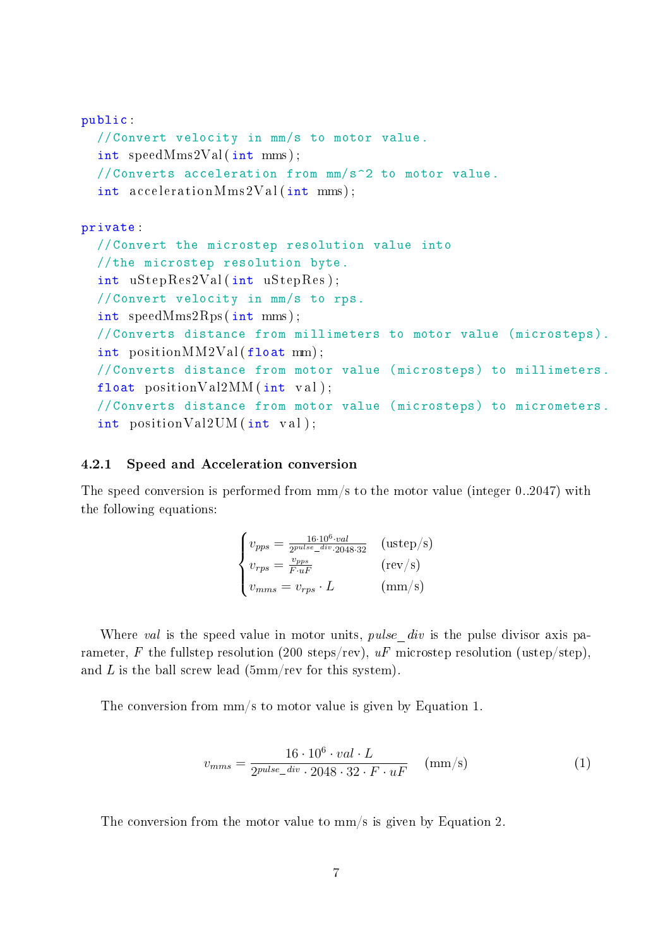```
public :
  //Convert velocity in mm/s to motor value.
  int speedMms2Val ( int mms ) ;
  //Converts acceleration from mm/s^2 to motor value.
  int \arccos acceleration Mms2Val (int mms);
private :
  //Convert the microstep resolution value into
  //the microstep resolution byte.
  int uStepRes2Val ( int uStepRes ) ;
  //Convert velocity in mm/s to rps.
  int speedMms2Rps ( int mms ) ;
  //Converts distance from millimeters to motor value (microsteps).
  int positionMM2Val(fload mm);//Converts distance from motor value (microsteps) to millimeters.
  float positionVal2MM(int val);//Converts distance from motor value (microsteps) to micrometers.
  int positionVal2UM ( int val ) ;
```
#### <span id="page-7-0"></span>4.2.1 Speed and Acceleration conversion

The speed conversion is performed from mm/s to the motor value (integer 0..2047) with the following equations:

$$
\begin{cases}\nv_{pps} = \frac{16 \cdot 10^6 \cdot val}{2^{pulse\_div} \cdot 2048 \cdot 32} & (\text{ustep/s}) \\
v_{rps} = \frac{v_{pps}}{F \cdot uF} & (\text{rev/s}) \\
v_{mms} = v_{rps} \cdot L & (\text{mm/s})\n\end{cases}
$$

Where val is the speed value in motor units, *pulse* div is the pulse divisor axis parameter, F the fullstep resolution (200 steps/rev),  $uF$  microstep resolution (ustep/step), and  $L$  is the ball screw lead (5mm/rev for this system).

The conversion from mm/s to motor value is given by [Equation 1.](#page-7-1)

<span id="page-7-1"></span>
$$
v_{mms} = \frac{16 \cdot 10^6 \cdot val \cdot L}{2^{pulse\_div} \cdot 2048 \cdot 32 \cdot F \cdot uF} \quad (\text{mm/s}) \tag{1}
$$

 $2^{pulse\_div} \cdot 2048 \cdot 32 \cdot F \cdot uF$  (imm/s)<br>The conversion from the motor value to mm/s is given by [Equation 2.](#page-8-1)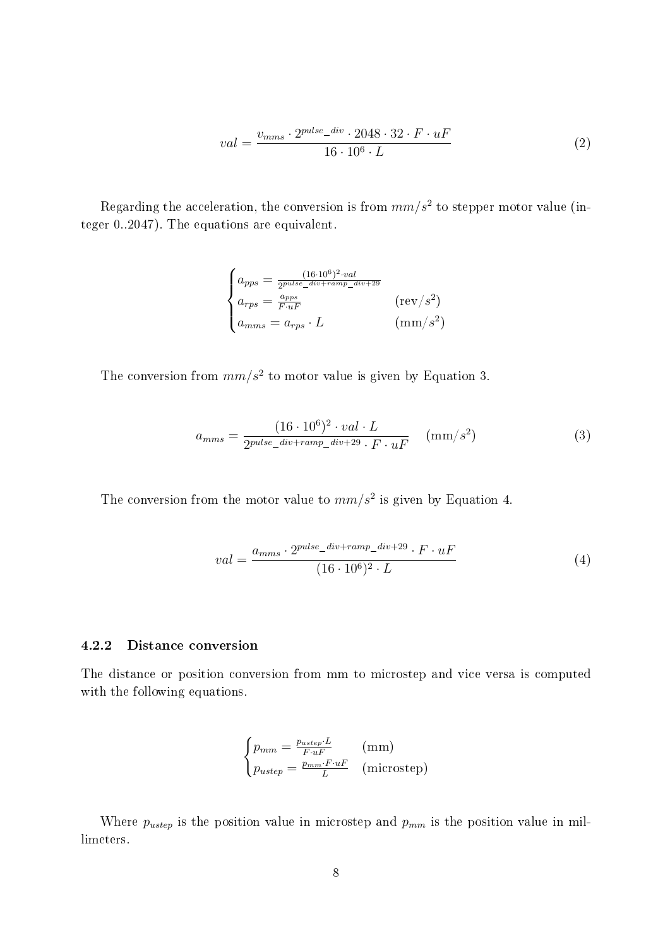<span id="page-8-1"></span>
$$
val = \frac{v_{mms} \cdot 2^{pulse\_div} \cdot 2048 \cdot 32 \cdot F \cdot uF}{16 \cdot 10^6 \cdot L}
$$
 (2)

Regarding the acceleration, the conversion is from  $mm/s^2$  to stepper motor value (integer 0..2047). The equations are equivalent.

$$
\begin{cases}\n a_{pps} = \frac{(16 \cdot 10^6)^2 \cdot val}{2^{pulse\_div + ramp\_div + 29}} \\
 a_{rps} = \frac{a_{pps}}{F \cdot uF} \\
 a_{mms} = a_{rps} \cdot L\n\end{cases} \quad (\text{rev/s}^2)
$$

The conversion from  $mm/s^2$  to motor value is given by [Equation 3.](#page-8-2)

<span id="page-8-2"></span>
$$
a_{mms} = \frac{(16 \cdot 10^6)^2 \cdot val \cdot L}{2^{pulse\_div + ramp\_div + 29} \cdot F \cdot uF} \quad (\text{mm/s}^2)
$$
 (3)

 $2^{pulse\_div + ramp\_div + 29} \cdot F \cdot uF$  (in  $\binom{mm}{b}$ )<br>The conversion from the motor value to  $mm/s^2$  is given by [Equation 4.](#page-8-3)

<span id="page-8-3"></span>
$$
val = \frac{a_{mms} \cdot 2^{pulse\_div + ramp\_div + 29} \cdot F \cdot uF}{(16 \cdot 10^6)^2 \cdot L}
$$
 (4)

#### <span id="page-8-0"></span>4.2.2 Distance conversion

The distance or position conversion from mm to microstep and vice versa is computed with the following equations.

$$
\begin{cases} p_{mm} = \frac{p_{uster} \cdot L}{F \cdot uF} & \text{(mm)}\\ p_{uster} = \frac{p_{mm} \cdot F \cdot uF}{L} & \text{(microstep)} \end{cases}
$$

Where  $p_{\text{ustep}}$  is the position value in microstep and  $p_{mm}$  is the position value in millimeters.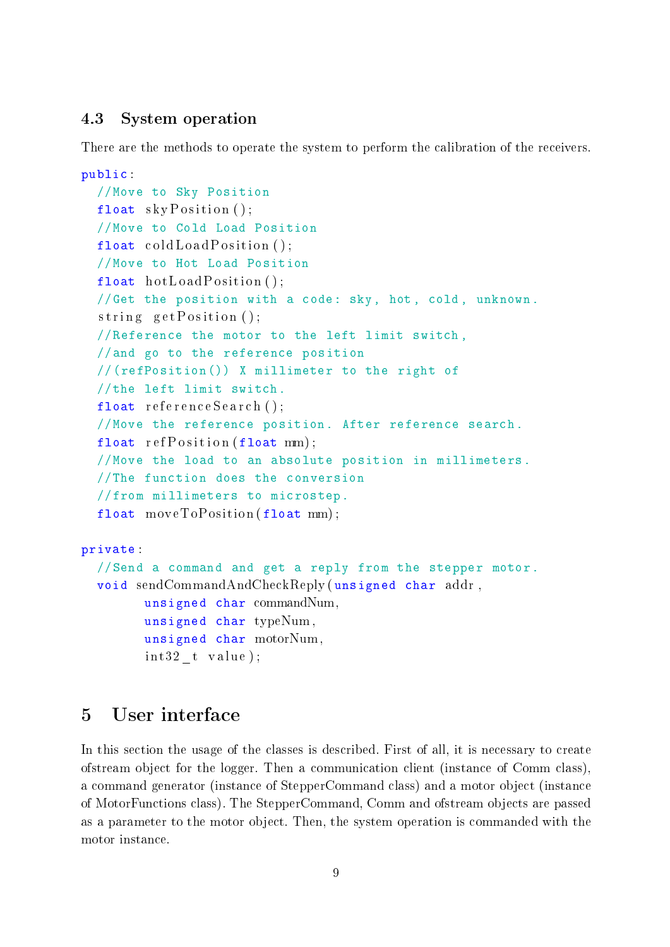#### <span id="page-9-0"></span>4.3 System operation

There are the methods to operate the system to perform the calibration of the receivers.

```
public :
  //Move to Sky Position
  float skyPosition();
  //Move to Cold Load Position
  float \operatorname{coldLoadPosition}();
  //Move to Hot Load Position
  float hotLoad Position();
  //Get the position with a code: sky, hot, cold , unknown.
  string \text{getPosition}();
  //Reference the motor to the left limit switch ,
  //and go to the reference position
  //(refPosition()) X millimeter to the right of
  //the left limit switch.
  float referenceSearch();
  //Move the reference position. After reference search.
  float refPosition(float mm);//Move the load to an absolute position in millimeters.
  //The function does the conversion
  //from millimeters to microstep.
  float moveToPosition (float mm);
private :
  //Send a command and get a reply from the stepper motor.
  void sendCommandAndCheckReply ( unsigned char addr ,
        unsigned char commandNum,
        unsigned char typeNum ,
        unsigned char motorNum ,
        int32_t value);
```
## <span id="page-9-1"></span>5 User interface

In this section the usage of the classes is described. First of all, it is necessary to create ofstream object for the logger. Then a communication client (instance of Comm class), a command generator (instance of StepperCommand class) and a motor object (instance of MotorFunctions class). The StepperCommand, Comm and ofstream objects are passed as a parameter to the motor object. Then, the system operation is commanded with the motor instance.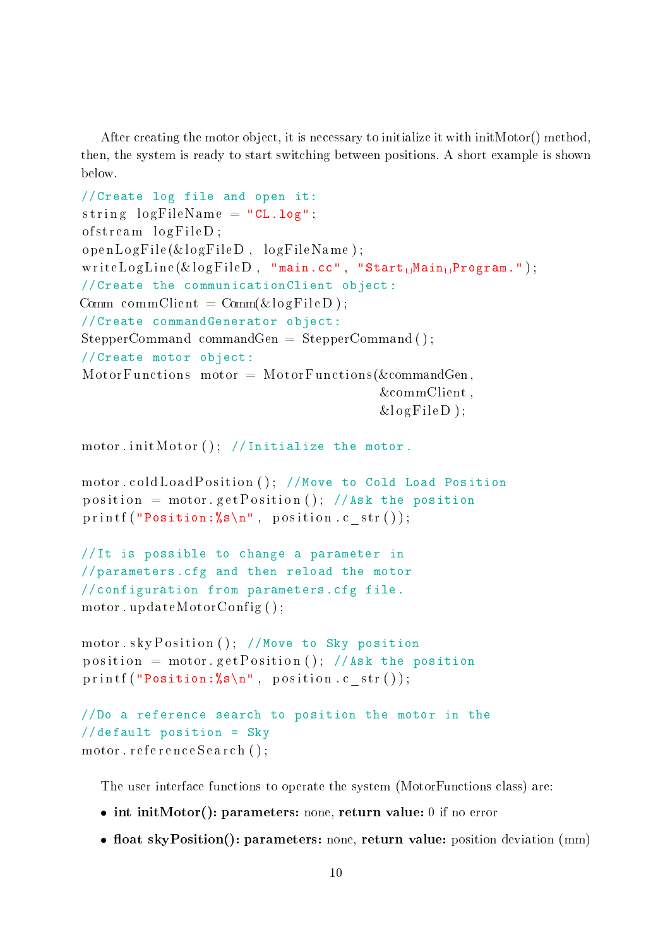After creating the motor object, it is necessary to initialize it with initMotor() method, then, the system is ready to start switching between positions. A short example is shown below.

```
//Create log file and open it:
string logFileName = "CL.log";of stream \ logFileD ;openLogFile(&logFileD, logFileName);writeLogLine(&logFileD, "main.cc", "Start, Main, Program.");
//Create the communicationClient object:
Comm commClient = Comm(\&logFileD);
//Create commandGenerator object:
StepperCommand commandGen = StepperCommand();
//Create motor object:
MotorFunctions motor = MotorFunctions (&commandGen,
                                        &commClient ,
                                        &logFileD );
motor.initMotor(); //Initialize the motor.
motor coldLoadPosition (); //Move to Cold Load Position
position = motor . get Position (); //Ask the position
printf ("Position: \&s\n\cdot", position.c_str());
//It is possible to change a parameter in
//parameters.cfg and then reload the motor
//configuration from parameters.cfg file.
motor . updateMotorConfig ( ) ;
motor.skyPosition(); //Move to Sky position
position = motor . get Position (); //Ask the position
print f("Position: %s\n", position.c_str();//Do a reference search to position the motor in the
//default position = Sky
motor . reference Search ();
```
The user interface functions to operate the system (MotorFunctions class) are:

- int initMotor(): parameters: none, return value: 0 if no error
- $\bullet$  float skyPosition(): parameters: none, return value: position deviation (mm)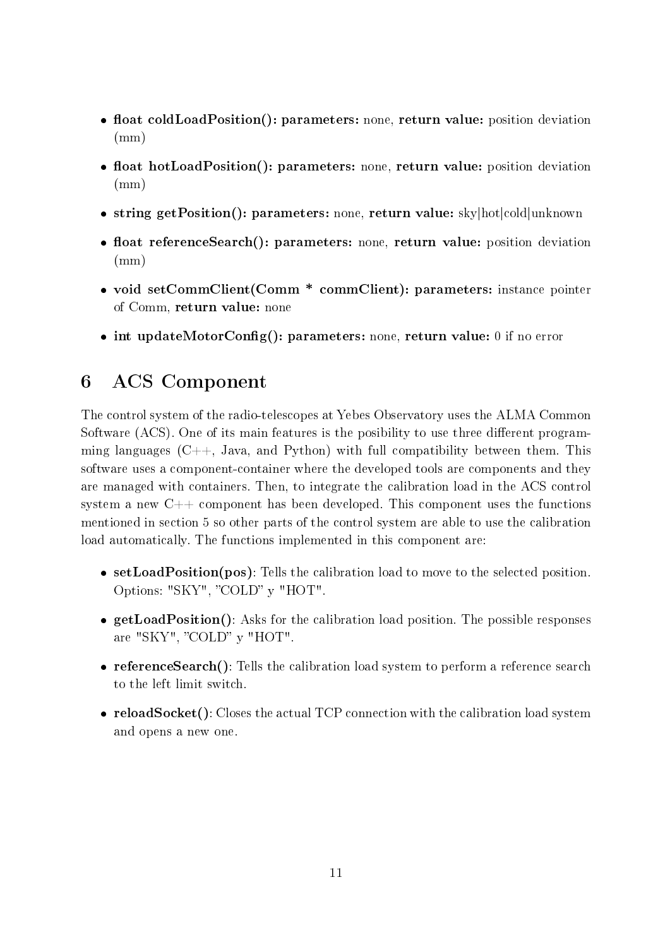- float coldLoadPosition(): parameters: none, return value: position deviation (mm)
- float hotLoadPosition(): parameters: none, return value: position deviation  $(mm)$
- string getPosition(): parameters: none, return value: sky|hot|cold|unknown
- float referenceSearch(): parameters: none, return value: position deviation  $(mm)$
- void setCommClient(Comm \* commClient): parameters: instance pointer of Comm, return value: none
- $\bullet$  int updateMotorConfig(): parameters: none, return value: 0 if no error

## <span id="page-11-0"></span>6 ACS Component

The control system of the radio-telescopes at Yebes Observatory uses the ALMA Common Software (ACS). One of its main features is the posibility to use three different programming languages  $(C_{++}$ , Java, and Python) with full compatibility between them. This software uses a component-container where the developed tools are components and they are managed with containers. Then, to integrate the calibration load in the ACS control system a new  $C++$  component has been developed. This component uses the functions mentioned in [section 5](#page-9-1) so other parts of the control system are able to use the calibration load automatically. The functions implemented in this component are:

- setLoadPosition(pos): Tells the calibration load to move to the selected position. Options: "SKY", "COLD" y "HOT".
- getLoadPosition(): Asks for the calibration load position. The possible responses are "SKY", "COLD" y "HOT".
- referenceSearch(): Tells the calibration load system to perform a reference search to the left limit switch.
- reloadSocket(): Closes the actual TCP connection with the calibration load system and opens a new one.